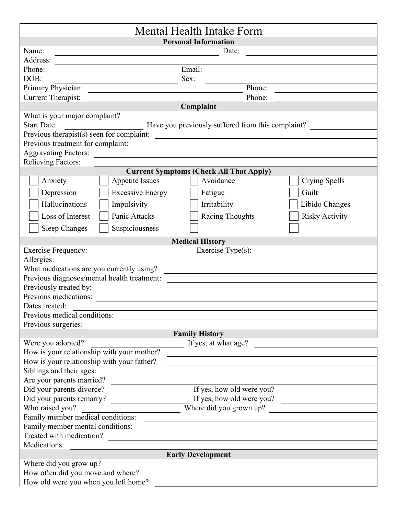| Mental Health Intake Form                                                                                                                                                                                                                                                                                                                                                                                                                                       |
|-----------------------------------------------------------------------------------------------------------------------------------------------------------------------------------------------------------------------------------------------------------------------------------------------------------------------------------------------------------------------------------------------------------------------------------------------------------------|
| <b>Personal Information</b>                                                                                                                                                                                                                                                                                                                                                                                                                                     |
| Name:<br>Date:<br><u> 1980 - Johann Barn, fransk politik fotograf (d. 1980)</u>                                                                                                                                                                                                                                                                                                                                                                                 |
| Address:<br><u>and the state of the state of the state of the state of the state of the state of the state of the state of the state of the state of the state of the state of the state of the state of the state of the state of the state</u>                                                                                                                                                                                                                |
| Email:<br>Phone:<br><u> 1989 - Johann Barn, mars et al. (</u><br><u> 1989 - Jan Barnett, fransk politiker (d. 1989)</u>                                                                                                                                                                                                                                                                                                                                         |
| DOB:<br>Sex:                                                                                                                                                                                                                                                                                                                                                                                                                                                    |
| Primary Physician:<br>Phone:                                                                                                                                                                                                                                                                                                                                                                                                                                    |
| Current Therapist:<br>Phone:                                                                                                                                                                                                                                                                                                                                                                                                                                    |
| Complaint                                                                                                                                                                                                                                                                                                                                                                                                                                                       |
| What is your major complaint?                                                                                                                                                                                                                                                                                                                                                                                                                                   |
|                                                                                                                                                                                                                                                                                                                                                                                                                                                                 |
|                                                                                                                                                                                                                                                                                                                                                                                                                                                                 |
| Previous treatment for complaint:                                                                                                                                                                                                                                                                                                                                                                                                                               |
|                                                                                                                                                                                                                                                                                                                                                                                                                                                                 |
| <b>Relieving Factors:</b>                                                                                                                                                                                                                                                                                                                                                                                                                                       |
| <b>Current Symptoms (Check All That Apply)</b>                                                                                                                                                                                                                                                                                                                                                                                                                  |
| Anxiety<br>Avoidance<br><b>Crying Spells</b><br>Appetite Issues                                                                                                                                                                                                                                                                                                                                                                                                 |
|                                                                                                                                                                                                                                                                                                                                                                                                                                                                 |
| Guilt<br>Depression<br><b>Excessive Energy</b><br>Fatigue                                                                                                                                                                                                                                                                                                                                                                                                       |
| Hallucinations<br>Impulsivity<br>Irritability<br>Libido Changes                                                                                                                                                                                                                                                                                                                                                                                                 |
| Panic Attacks<br><b>Racing Thoughts</b><br><b>Risky Activity</b><br>Loss of Interest                                                                                                                                                                                                                                                                                                                                                                            |
| Suspiciousness<br><b>Sleep Changes</b>                                                                                                                                                                                                                                                                                                                                                                                                                          |
| <b>Medical History</b>                                                                                                                                                                                                                                                                                                                                                                                                                                          |
| <b>Exercise Frequency:</b><br>$\frac{1}{\sqrt{1-\frac{1}{\sqrt{1-\frac{1}{\sqrt{1-\frac{1}{\sqrt{1-\frac{1}{\sqrt{1-\frac{1}{\sqrt{1-\frac{1}{\sqrt{1-\frac{1}{\sqrt{1-\frac{1}{\sqrt{1-\frac{1}{\sqrt{1-\frac{1}{\sqrt{1-\frac{1}{\sqrt{1-\frac{1}{\sqrt{1-\frac{1}{\sqrt{1-\frac{1}{\sqrt{1-\frac{1}{\sqrt{1-\frac{1}{\sqrt{1-\frac{1}{\sqrt{1-\frac{1}{\sqrt{1-\frac{1}{\sqrt{1-\frac{1}{\sqrt{1-\frac{1}{\sqrt{1-\frac{1}{\sqrt{1-\frac{1}{\sqrt{1-\frac{1$ |
| Allergies:                                                                                                                                                                                                                                                                                                                                                                                                                                                      |
| What medications are you currently using?                                                                                                                                                                                                                                                                                                                                                                                                                       |
|                                                                                                                                                                                                                                                                                                                                                                                                                                                                 |
|                                                                                                                                                                                                                                                                                                                                                                                                                                                                 |
| Previous medications:                                                                                                                                                                                                                                                                                                                                                                                                                                           |
| Dates treated:                                                                                                                                                                                                                                                                                                                                                                                                                                                  |
| Previous medical conditions:                                                                                                                                                                                                                                                                                                                                                                                                                                    |
| Previous surgeries:                                                                                                                                                                                                                                                                                                                                                                                                                                             |
| <b>Family History</b>                                                                                                                                                                                                                                                                                                                                                                                                                                           |
| Were you adopted?<br>If yes, at what age?                                                                                                                                                                                                                                                                                                                                                                                                                       |
| How is your relationship with your mother?                                                                                                                                                                                                                                                                                                                                                                                                                      |
| How is your relationship with your father?                                                                                                                                                                                                                                                                                                                                                                                                                      |
| Siblings and their ages:                                                                                                                                                                                                                                                                                                                                                                                                                                        |
| Are your parents married?                                                                                                                                                                                                                                                                                                                                                                                                                                       |
| Did your parents divorce?<br>If yes, how old were you?                                                                                                                                                                                                                                                                                                                                                                                                          |
| Did your parents remarry?<br>If yes, how old were you?                                                                                                                                                                                                                                                                                                                                                                                                          |
| Where did you grown up?<br>Who raised you?                                                                                                                                                                                                                                                                                                                                                                                                                      |
| Family member medical conditions:                                                                                                                                                                                                                                                                                                                                                                                                                               |
| Family member mental conditions:                                                                                                                                                                                                                                                                                                                                                                                                                                |
| Treated with medication?                                                                                                                                                                                                                                                                                                                                                                                                                                        |
| Medications:                                                                                                                                                                                                                                                                                                                                                                                                                                                    |
|                                                                                                                                                                                                                                                                                                                                                                                                                                                                 |
| <b>Early Development</b>                                                                                                                                                                                                                                                                                                                                                                                                                                        |
| Where did you grow up?                                                                                                                                                                                                                                                                                                                                                                                                                                          |
| How often did you move and where?                                                                                                                                                                                                                                                                                                                                                                                                                               |
| How old were you when you left home?                                                                                                                                                                                                                                                                                                                                                                                                                            |